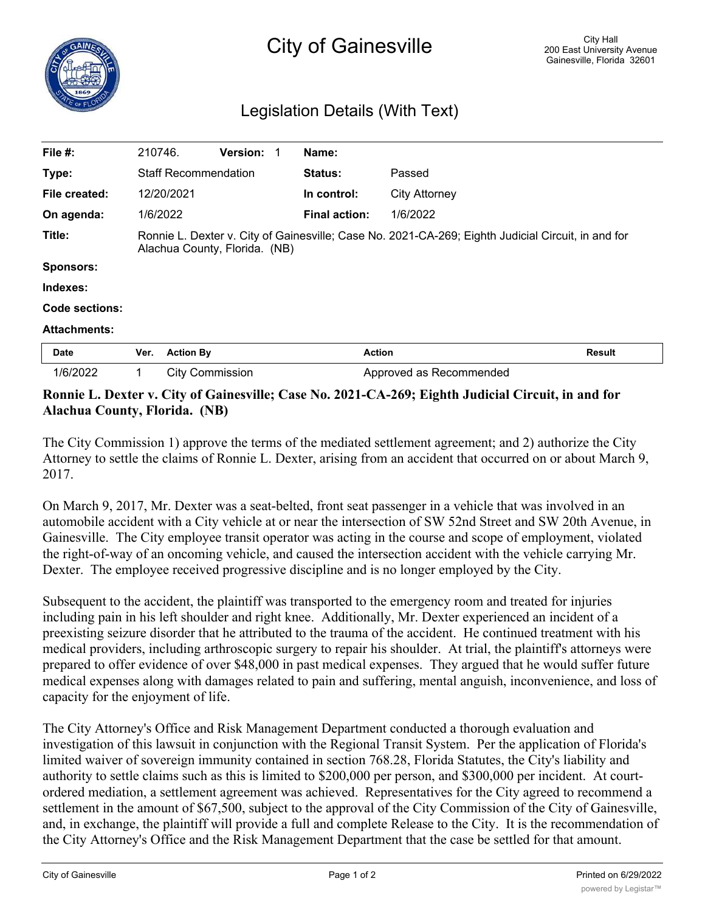## Legislation Details (With Text)

| File #:             | 210746.                     |                                                                                                                                     | <b>Version:</b> |  | Name:                |                         |               |  |
|---------------------|-----------------------------|-------------------------------------------------------------------------------------------------------------------------------------|-----------------|--|----------------------|-------------------------|---------------|--|
| Type:               | <b>Staff Recommendation</b> |                                                                                                                                     |                 |  | <b>Status:</b>       | Passed                  |               |  |
| File created:       |                             | 12/20/2021                                                                                                                          |                 |  | In control:          | <b>City Attorney</b>    |               |  |
| On agenda:          |                             | 1/6/2022                                                                                                                            |                 |  | <b>Final action:</b> | 1/6/2022                |               |  |
| Title:              |                             | Ronnie L. Dexter v. City of Gainesville; Case No. 2021-CA-269; Eighth Judicial Circuit, in and for<br>Alachua County, Florida. (NB) |                 |  |                      |                         |               |  |
| <b>Sponsors:</b>    |                             |                                                                                                                                     |                 |  |                      |                         |               |  |
| Indexes:            |                             |                                                                                                                                     |                 |  |                      |                         |               |  |
| Code sections:      |                             |                                                                                                                                     |                 |  |                      |                         |               |  |
| <b>Attachments:</b> |                             |                                                                                                                                     |                 |  |                      |                         |               |  |
| Date                | Ver.                        | <b>Action By</b>                                                                                                                    |                 |  | <b>Action</b>        |                         | <b>Result</b> |  |
| 1/6/2022            | 1                           | <b>City Commission</b>                                                                                                              |                 |  |                      | Approved as Recommended |               |  |

## **Ronnie L. Dexter v. City of Gainesville; Case No. 2021-CA-269; Eighth Judicial Circuit, in and for Alachua County, Florida. (NB)**

The City Commission 1) approve the terms of the mediated settlement agreement; and 2) authorize the City Attorney to settle the claims of Ronnie L. Dexter, arising from an accident that occurred on or about March 9, 2017.

On March 9, 2017, Mr. Dexter was a seat-belted, front seat passenger in a vehicle that was involved in an automobile accident with a City vehicle at or near the intersection of SW 52nd Street and SW 20th Avenue, in Gainesville. The City employee transit operator was acting in the course and scope of employment, violated the right-of-way of an oncoming vehicle, and caused the intersection accident with the vehicle carrying Mr. Dexter. The employee received progressive discipline and is no longer employed by the City.

Subsequent to the accident, the plaintiff was transported to the emergency room and treated for injuries including pain in his left shoulder and right knee. Additionally, Mr. Dexter experienced an incident of a preexisting seizure disorder that he attributed to the trauma of the accident. He continued treatment with his medical providers, including arthroscopic surgery to repair his shoulder. At trial, the plaintiff's attorneys were prepared to offer evidence of over \$48,000 in past medical expenses. They argued that he would suffer future medical expenses along with damages related to pain and suffering, mental anguish, inconvenience, and loss of capacity for the enjoyment of life.

The City Attorney's Office and Risk Management Department conducted a thorough evaluation and investigation of this lawsuit in conjunction with the Regional Transit System. Per the application of Florida's limited waiver of sovereign immunity contained in section 768.28, Florida Statutes, the City's liability and authority to settle claims such as this is limited to \$200,000 per person, and \$300,000 per incident. At courtordered mediation, a settlement agreement was achieved. Representatives for the City agreed to recommend a settlement in the amount of \$67,500, subject to the approval of the City Commission of the City of Gainesville, and, in exchange, the plaintiff will provide a full and complete Release to the City. It is the recommendation of the City Attorney's Office and the Risk Management Department that the case be settled for that amount.